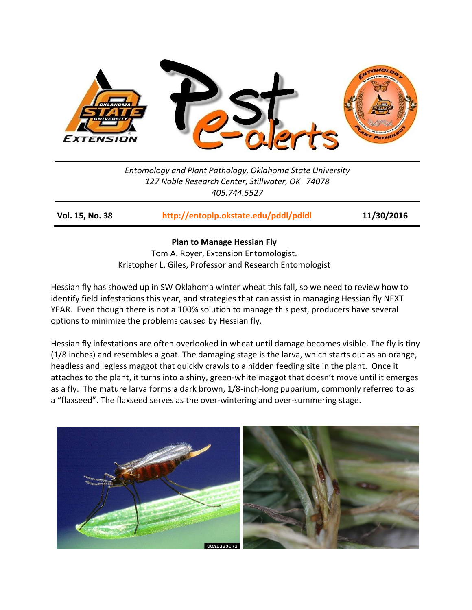

*Entomology and Plant Pathology, Oklahoma State University 127 Noble Research Center, Stillwater, OK 74078 405.744.5527*

**Vol. 15, No. 38 <http://entoplp.okstate.edu/pddl/pdidl> 11/30/2016**

## **Plan to Manage Hessian Fly**

Tom A. Royer, Extension Entomologist. Kristopher L. Giles, Professor and Research Entomologist

Hessian fly has showed up in SW Oklahoma winter wheat this fall, so we need to review how to identify field infestations this year, and strategies that can assist in managing Hessian fly NEXT YEAR. Even though there is not a 100% solution to manage this pest, producers have several options to minimize the problems caused by Hessian fly.

Hessian fly infestations are often overlooked in wheat until damage becomes visible. The fly is tiny (1/8 inches) and resembles a gnat. The damaging stage is the larva, which starts out as an orange, headless and legless maggot that quickly crawls to a hidden feeding site in the plant. Once it attaches to the plant, it turns into a shiny, green-white maggot that doesn't move until it emerges as a fly. The mature larva forms a dark brown, 1/8-inch-long puparium, commonly referred to as a "flaxseed". The flaxseed serves as the over-wintering and over-summering stage.

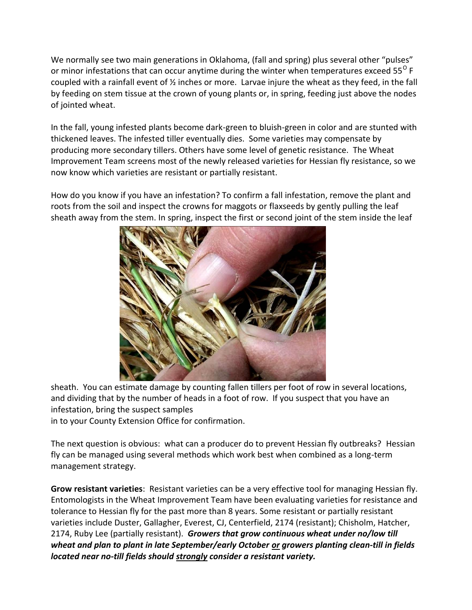We normally see two main generations in Oklahoma, (fall and spring) plus several other "pulses" or minor infestations that can occur anytime during the winter when temperatures exceed 55<sup>0</sup> F coupled with a rainfall event of  $\frac{1}{2}$  inches or more. Larvae injure the wheat as they feed, in the fall by feeding on stem tissue at the crown of young plants or, in spring, feeding just above the nodes of jointed wheat.

In the fall, young infested plants become dark-green to bluish-green in color and are stunted with thickened leaves. The infested tiller eventually dies. Some varieties may compensate by producing more secondary tillers. Others have some level of genetic resistance. The Wheat Improvement Team screens most of the newly released varieties for Hessian fly resistance, so we now know which varieties are resistant or partially resistant.

How do you know if you have an infestation? To confirm a fall infestation, remove the plant and roots from the soil and inspect the crowns for maggots or flaxseeds by gently pulling the leaf sheath away from the stem. In spring, inspect the first or second joint of the stem inside the leaf



sheath. You can estimate damage by counting fallen tillers per foot of row in several locations, and dividing that by the number of heads in a foot of row. If you suspect that you have an infestation, bring the suspect samples in to your County Extension Office for confirmation.

The next question is obvious: what can a producer do to prevent Hessian fly outbreaks? Hessian fly can be managed using several methods which work best when combined as a long-term management strategy.

**Grow resistant varieties**: Resistant varieties can be a very effective tool for managing Hessian fly. Entomologists in the Wheat Improvement Team have been evaluating varieties for resistance and tolerance to Hessian fly for the past more than 8 years. Some resistant or partially resistant varieties include Duster, Gallagher, Everest, CJ, Centerfield, 2174 (resistant); Chisholm, Hatcher, 2174, Ruby Lee (partially resistant). *Growers that grow continuous wheat under no/low till wheat and plan to plant in late September/early October or growers planting clean-till in fields located near no-till fields should strongly consider a resistant variety.*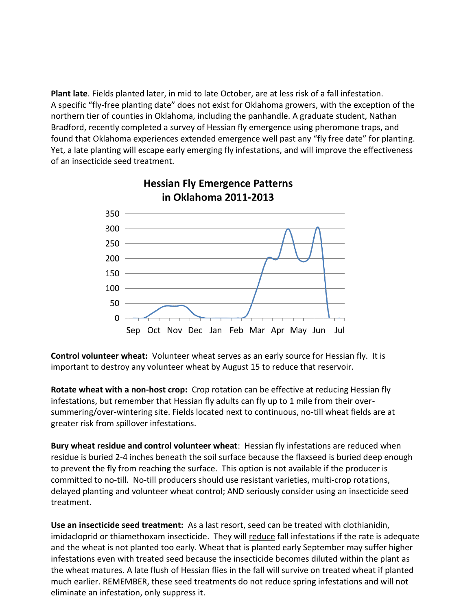**Plant late**. Fields planted later, in mid to late October, are at less risk of a fall infestation. A specific "fly-free planting date" does not exist for Oklahoma growers, with the exception of the northern tier of counties in Oklahoma, including the panhandle. A graduate student, Nathan Bradford, recently completed a survey of Hessian fly emergence using pheromone traps, and found that Oklahoma experiences extended emergence well past any "fly free date" for planting. Yet, a late planting will escape early emerging fly infestations, and will improve the effectiveness of an insecticide seed treatment.



**Control volunteer wheat:** Volunteer wheat serves as an early source for Hessian fly. It is important to destroy any volunteer wheat by August 15 to reduce that reservoir.

**Rotate wheat with a non-host crop:** Crop rotation can be effective at reducing Hessian fly infestations, but remember that Hessian fly adults can fly up to 1 mile from their oversummering/over-wintering site. Fields located next to continuous, no-till wheat fields are at greater risk from spillover infestations.

**Bury wheat residue and control volunteer wheat**: Hessian fly infestations are reduced when residue is buried 2-4 inches beneath the soil surface because the flaxseed is buried deep enough to prevent the fly from reaching the surface. This option is not available if the producer is committed to no-till. No-till producers should use resistant varieties, multi-crop rotations, delayed planting and volunteer wheat control; AND seriously consider using an insecticide seed treatment.

**Use an insecticide seed treatment:** As a last resort, seed can be treated with clothianidin, imidacloprid or thiamethoxam insecticide. They will reduce fall infestations if the rate is adequate and the wheat is not planted too early. Wheat that is planted early September may suffer higher infestations even with treated seed because the insecticide becomes diluted within the plant as the wheat matures. A late flush of Hessian flies in the fall will survive on treated wheat if planted much earlier. REMEMBER, these seed treatments do not reduce spring infestations and will not eliminate an infestation, only suppress it.